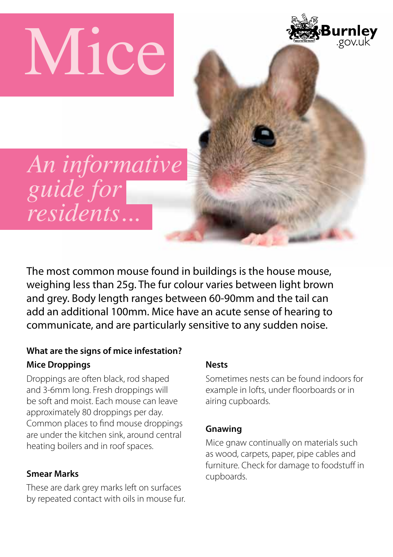**Mice** 



*An informative guide for residents...*

The most common mouse found in buildings is the house mouse, weighing less than 25g. The fur colour varies between light brown and grey. Body length ranges between 60-90mm and the tail can add an additional 100mm. Mice have an acute sense of hearing to communicate, and are particularly sensitive to any sudden noise.

# **What are the signs of mice infestation? Mice Droppings**

Droppings are often black, rod shaped and 3-6mm long. Fresh droppings will be soft and moist. Each mouse can leave approximately 80 droppings per day. Common places to find mouse droppings are under the kitchen sink, around central heating boilers and in roof spaces.

# **Smear Marks**

These are dark grey marks left on surfaces by repeated contact with oils in mouse fur.

# **Nests**

Sometimes nests can be found indoors for example in lofts, under floorboards or in airing cupboards.

# **Gnawing**

Mice gnaw continually on materials such as wood, carpets, paper, pipe cables and furniture. Check for damage to foodstuff in cupboards.